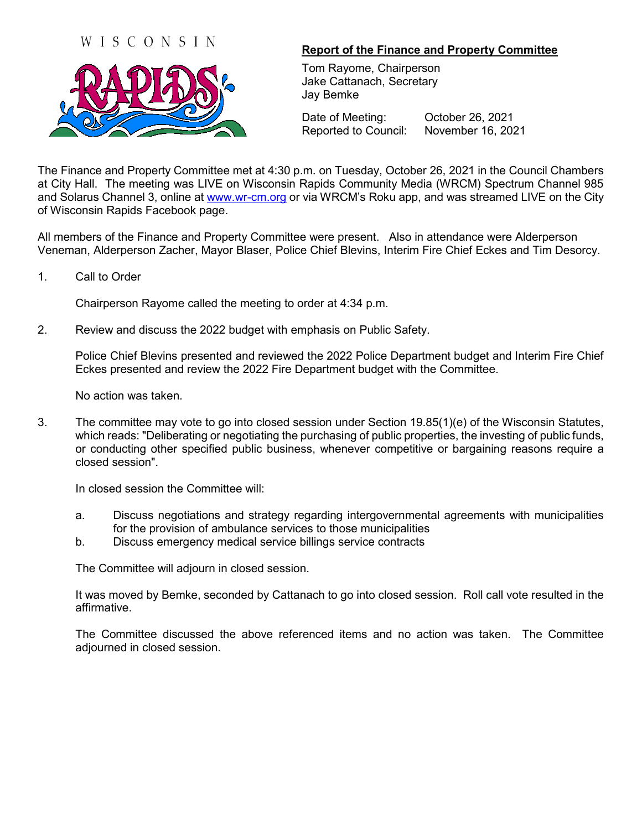## WISCONSIN



## **Report of the Finance and Property Committee**

Tom Rayome, Chairperson Jake Cattanach, Secretary Jay Bemke

Date of Meeting: October 26, 2021 Reported to Council: November 16, 2021

The Finance and Property Committee met at 4:30 p.m. on Tuesday, October 26, 2021 in the Council Chambers at City Hall. The meeting was LIVE on Wisconsin Rapids Community Media (WRCM) Spectrum Channel 985 and Solarus Channel 3, online at [www.wr-cm.org](http://www.wr-cm.org/) or via WRCM's Roku app, and was streamed LIVE on the City of Wisconsin Rapids Facebook page.

All members of the Finance and Property Committee were present. Also in attendance were Alderperson Veneman, Alderperson Zacher, Mayor Blaser, Police Chief Blevins, Interim Fire Chief Eckes and Tim Desorcy.

1. Call to Order

Chairperson Rayome called the meeting to order at 4:34 p.m.

2. Review and discuss the 2022 budget with emphasis on Public Safety.

Police Chief Blevins presented and reviewed the 2022 Police Department budget and Interim Fire Chief Eckes presented and review the 2022 Fire Department budget with the Committee.

No action was taken.

3. The committee may vote to go into closed session under Section 19.85(1)(e) of the Wisconsin Statutes, which reads: "Deliberating or negotiating the purchasing of public properties, the investing of public funds, or conducting other specified public business, whenever competitive or bargaining reasons require a closed session".

In closed session the Committee will:

- a. Discuss negotiations and strategy regarding intergovernmental agreements with municipalities for the provision of ambulance services to those municipalities
- b. Discuss emergency medical service billings service contracts

The Committee will adjourn in closed session.

It was moved by Bemke, seconded by Cattanach to go into closed session. Roll call vote resulted in the affirmative.

The Committee discussed the above referenced items and no action was taken. The Committee adjourned in closed session.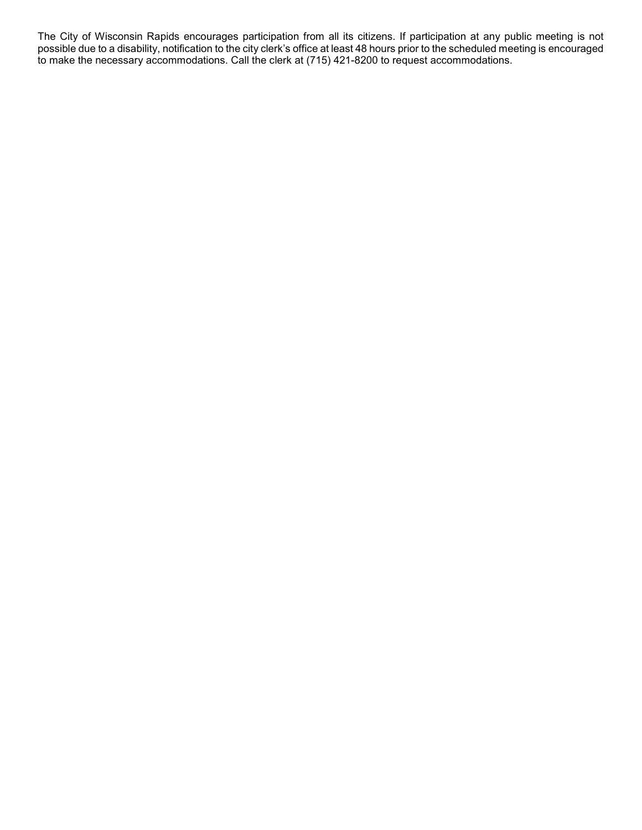The City of Wisconsin Rapids encourages participation from all its citizens. If participation at any public meeting is not possible due to a disability, notification to the city clerk's office at least 48 hours prior to the scheduled meeting is encouraged to make the necessary accommodations. Call the clerk at (715) 421-8200 to request accommodations.